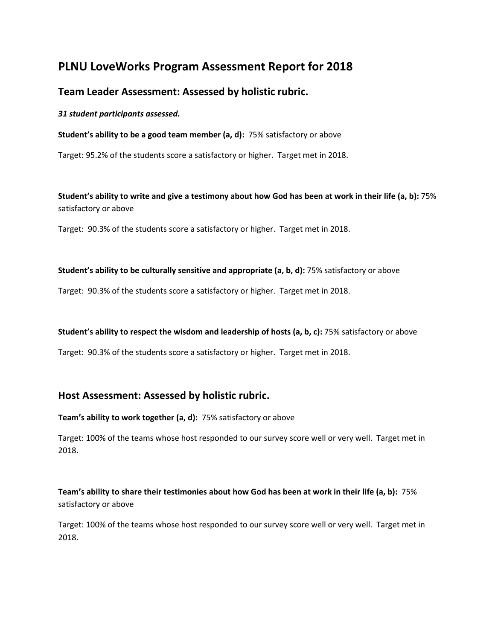# **PLNU LoveWorks Program Assessment Report for 2018**

# **Team Leader Assessment: Assessed by holistic rubric.**

*31 student participants assessed.*

**Student's ability to be a good team member (a, d):** 75% satisfactory or above

Target: 95.2% of the students score a satisfactory or higher. Target met in 2018.

**Student's ability to write and give a testimony about how God has been at work in their life (a, b):** 75% satisfactory or above

Target: 90.3% of the students score a satisfactory or higher. Target met in 2018.

#### **Student's ability to be culturally sensitive and appropriate (a, b, d):** 75% satisfactory or above

Target: 90.3% of the students score a satisfactory or higher. Target met in 2018.

### **Student's ability to respect the wisdom and leadership of hosts (a, b, c):** 75% satisfactory or above

Target: 90.3% of the students score a satisfactory or higher. Target met in 2018.

## **Host Assessment: Assessed by holistic rubric.**

**Team's ability to work together (a, d):** 75% satisfactory or above

Target: 100% of the teams whose host responded to our survey score well or very well. Target met in 2018.

## **Team's ability to share their testimonies about how God has been at work in their life (a, b):** 75% satisfactory or above

Target: 100% of the teams whose host responded to our survey score well or very well. Target met in 2018.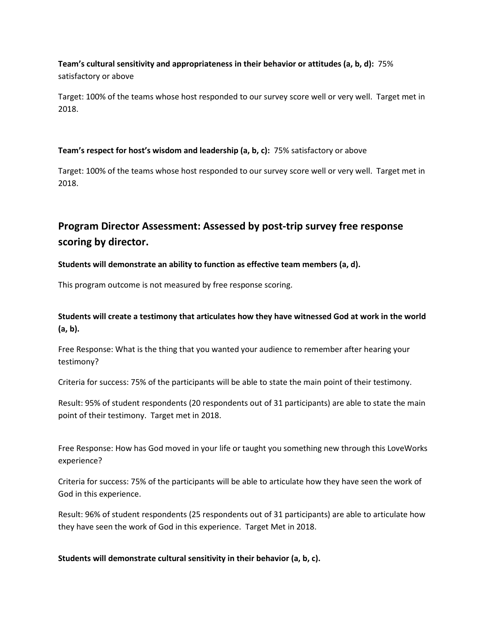## **Team's cultural sensitivity and appropriateness in their behavior or attitudes (a, b, d):** 75% satisfactory or above

Target: 100% of the teams whose host responded to our survey score well or very well. Target met in 2018.

## **Team's respect for host's wisdom and leadership (a, b, c):** 75% satisfactory or above

Target: 100% of the teams whose host responded to our survey score well or very well. Target met in 2018.

# **Program Director Assessment: Assessed by post-trip survey free response scoring by director.**

## **Students will demonstrate an ability to function as effective team members (a, d).**

This program outcome is not measured by free response scoring.

## **Students will create a testimony that articulates how they have witnessed God at work in the world (a, b).**

Free Response: What is the thing that you wanted your audience to remember after hearing your testimony?

Criteria for success: 75% of the participants will be able to state the main point of their testimony.

Result: 95% of student respondents (20 respondents out of 31 participants) are able to state the main point of their testimony. Target met in 2018.

Free Response: How has God moved in your life or taught you something new through this LoveWorks experience?

Criteria for success: 75% of the participants will be able to articulate how they have seen the work of God in this experience.

Result: 96% of student respondents (25 respondents out of 31 participants) are able to articulate how they have seen the work of God in this experience. Target Met in 2018.

### **Students will demonstrate cultural sensitivity in their behavior (a, b, c).**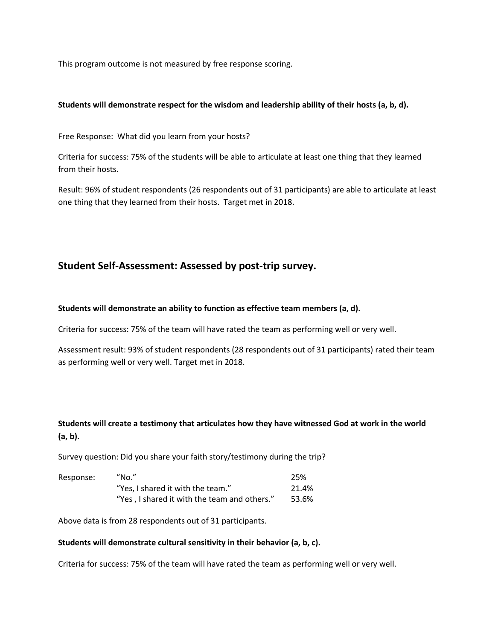This program outcome is not measured by free response scoring.

#### **Students will demonstrate respect for the wisdom and leadership ability of their hosts (a, b, d).**

Free Response: What did you learn from your hosts?

Criteria for success: 75% of the students will be able to articulate at least one thing that they learned from their hosts.

Result: 96% of student respondents (26 respondents out of 31 participants) are able to articulate at least one thing that they learned from their hosts. Target met in 2018.

# **Student Self-Assessment: Assessed by post-trip survey.**

#### **Students will demonstrate an ability to function as effective team members (a, d).**

Criteria for success: 75% of the team will have rated the team as performing well or very well.

Assessment result: 93% of student respondents (28 respondents out of 31 participants) rated their team as performing well or very well. Target met in 2018.

## **Students will create a testimony that articulates how they have witnessed God at work in the world (a, b).**

Survey question: Did you share your faith story/testimony during the trip?

| Response: | "No."                                        | 25%   |
|-----------|----------------------------------------------|-------|
|           | "Yes, I shared it with the team."            | 21.4% |
|           | "Yes, I shared it with the team and others." | 53.6% |

Above data is from 28 respondents out of 31 participants.

#### **Students will demonstrate cultural sensitivity in their behavior (a, b, c).**

Criteria for success: 75% of the team will have rated the team as performing well or very well.